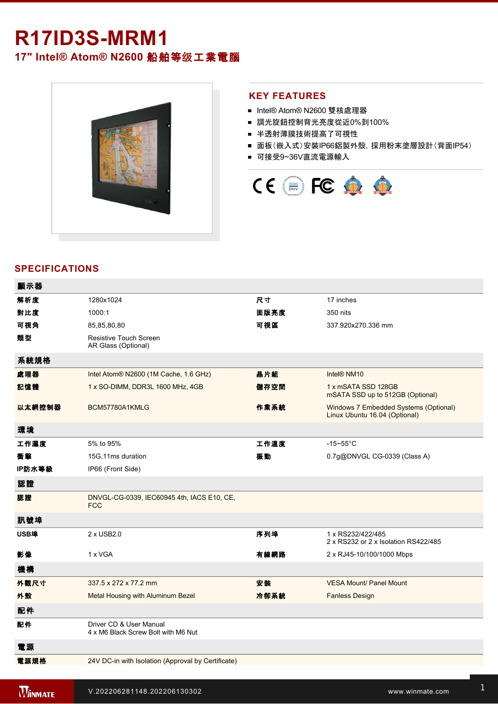# **R17ID3S-MRM1**

**17" Intel® Atom® N2600** 船舶等级工業電腦



### **KEY FEATURES**

- Intel® Atom® N2600 雙核處理器
- 調光旋鈕控制背光亮度從近0%到100%
- 半透射薄膜技術提高了可視性
- 面板(嵌入式)安裝IP66鋁製外殼, 採用粉末塗層設計(背面IP54)
- 可接受9~36V直流電源輸入



## **SPECIFICATIONS**

| 顯示器    |                                                                |      |                                                                        |
|--------|----------------------------------------------------------------|------|------------------------------------------------------------------------|
| 解析度    | 1280x1024                                                      | 尺寸   | 17 inches                                                              |
| 對比度    | 1000:1                                                         | 面版亮度 | 350 nits                                                               |
| 可視角    | 85,85,80,80                                                    | 可視區  | 337.920x270.336 mm                                                     |
| 類型     | <b>Resistive Touch Screen</b><br>AR Glass (Optional)           |      |                                                                        |
| 系統規格   |                                                                |      |                                                                        |
| 處理器    | Intel Atom® N2600 (1M Cache, 1.6 GHz)                          | 晶片組  | Intel® NM10                                                            |
| 記憶體    | 1 x SO-DIMM, DDR3L 1600 MHz, 4GB                               | 儲存空間 | 1 x mSATA SSD 128GB<br>mSATA SSD up to 512GB (Optional)                |
| 以太網控制器 | BCM57780A1KMLG                                                 | 作業系統 | Windows 7 Embedded Systems (Optional)<br>Linux Ubuntu 16.04 (Optional) |
| 環境     |                                                                |      |                                                                        |
| 工作濕度   | 5% to 95%                                                      | 工作溫度 | $-15 - 55$ °C                                                          |
| 衝擊     | 15G,11ms duration                                              | 振動   | 0.7g@DNVGL CG-0339 (Class A)                                           |
| IP防水等級 | IP66 (Front Side)                                              |      |                                                                        |
| 認證     |                                                                |      |                                                                        |
| 認證     | DNVGL-CG-0339, IEC60945 4th, IACS E10, CE,<br><b>FCC</b>       |      |                                                                        |
| 訊號埠    |                                                                |      |                                                                        |
| USB埠   | 2 x USB2.0                                                     | 序列埠  | 1 x RS232/422/485<br>2 x RS232 or 2 x Isolation RS422/485              |
| 影像     | 1 x VGA                                                        | 有線網路 | 2 x RJ45-10/100/1000 Mbps                                              |
| 機構     |                                                                |      |                                                                        |
| 外觀尺寸   | 337.5 x 272 x 77.2 mm                                          | 安装   | <b>VESA Mount/ Panel Mount</b>                                         |
| 外殼     | Metal Housing with Aluminum Bezel                              | 冷卻系統 | <b>Fanless Design</b>                                                  |
| 配件     |                                                                |      |                                                                        |
| 配件     | Driver CD & User Manual<br>4 x M6 Black Screw Bolt with M6 Nut |      |                                                                        |
| 電源     |                                                                |      |                                                                        |
| 電源規格   | 24V DC-in with Isolation (Approval by Certificate)             |      |                                                                        |

1 x Reset Button and the Company of the Company of the Company of the Company of the Company of the Company of